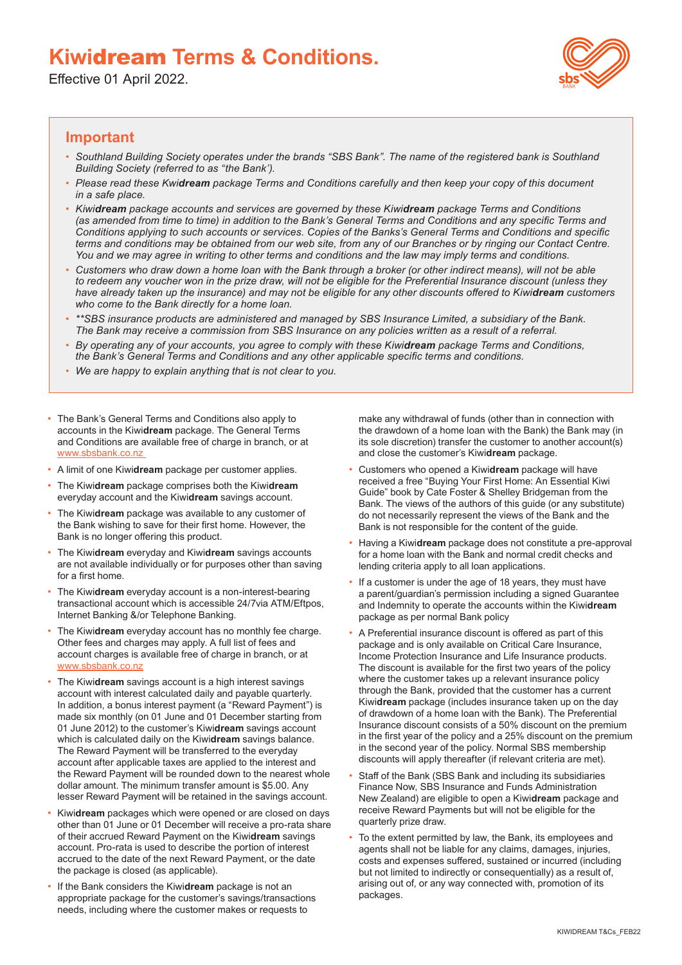## **Kiwi**dream **Terms & Conditions.**

Effective 01 April 2022.



## **Important**

- *Southland Building Society operates under the brands "SBS Bank". The name of the registered bank is Southland Building Society (referred to as "the Bank').*
- *Please read these Kwidream package Terms and Conditions carefully and then keep your copy of this document in a safe place.*
- *Kiwidream package accounts and services are governed by these Kiwidream package Terms and Conditions (as amended from time to time) in addition to the Bank's General Terms and Conditions and any specific Terms and Conditions applying to such accounts or services. Copies of the Banks's General Terms and Conditions and specific terms and conditions may be obtained from our web site, from any of our Branches or by ringing our Contact Centre. You and we may agree in writing to other terms and conditions and the law may imply terms and conditions.*
- *Customers who draw down a home loan with the Bank through a broker (or other indirect means), will not be able to redeem any voucher won in the prize draw, will not be eligible for the Preferential Insurance discount (unless they have already taken up the insurance) and may not be eligible for any other discounts offered to Kiwidream customers who come to the Bank directly for a home loan.*
- *\*\*SBS insurance products are administered and managed by SBS Insurance Limited, a subsidiary of the Bank. The Bank may receive a commission from SBS Insurance on any policies written as a result of a referral.*
- *By operating any of your accounts, you agree to comply with these Kiwidream package Terms and Conditions, the Bank's General Terms and Conditions and any other applicable specific terms and conditions.*
- *We are happy to explain anything that is not clear to you.*
- The Bank's General Terms and Conditions also apply to accounts in the Kiwi**dream** package. The General Terms and Conditions are available free of charge in branch, or at www.sbsbank.co.nz
- A limit of one Kiwi**dream** package per customer applies.
- The Kiwi**dream** package comprises both the Kiwi**dream**  everyday account and the Kiwi**dream** savings account.
- The Kiwi**dream** package was available to any customer of the Bank wishing to save for their first home. However, the Bank is no longer offering this product.
- The Kiwi**dream** everyday and Kiwi**dream** savings accounts are not available individually or for purposes other than saving for a first home.
- The Kiwi**dream** everyday account is a non-interest-bearing transactional account which is accessible 24/7via ATM/Eftpos, Internet Banking &/or Telephone Banking.
- The Kiwi**dream** everyday account has no monthly fee charge. Other fees and charges may apply. A full list of fees and account charges is available free of charge in branch, or at www.shshank.co.nz
- The Kiwi**dream** savings account is a high interest savings account with interest calculated daily and payable quarterly. In addition, a bonus interest payment (a "Reward Payment") is made six monthly (on 01 June and 01 December starting from 01 June 2012) to the customer's Kiwi**dream** savings account which is calculated daily on the Kiwi**dream** savings balance. The Reward Payment will be transferred to the everyday account after applicable taxes are applied to the interest and the Reward Payment will be rounded down to the nearest whole dollar amount. The minimum transfer amount is \$5.00. Any lesser Reward Payment will be retained in the savings account.
- Kiwi**dream** packages which were opened or are closed on days other than 01 June or 01 December will receive a pro-rata share of their accrued Reward Payment on the Kiwi**dream** savings account. Pro-rata is used to describe the portion of interest accrued to the date of the next Reward Payment, or the date the package is closed (as applicable).
- If the Bank considers the Kiwi**dream** package is not an appropriate package for the customer's savings/transactions needs, including where the customer makes or requests to

make any withdrawal of funds (other than in connection with the drawdown of a home loan with the Bank) the Bank may (in its sole discretion) transfer the customer to another account(s) and close the customer's Kiwi**dream** package.

- Customers who opened a Kiwi**dream** package will have received a free "Buying Your First Home: An Essential Kiwi Guide" book by Cate Foster & Shelley Bridgeman from the Bank. The views of the authors of this guide (or any substitute) do not necessarily represent the views of the Bank and the Bank is not responsible for the content of the guide.
- Having a Kiwi**dream** package does not constitute a pre-approval for a home loan with the Bank and normal credit checks and lending criteria apply to all loan applications.
- If a customer is under the age of 18 years, they must have a parent/guardian's permission including a signed Guarantee and Indemnity to operate the accounts within the Kiwi**dream**  package as per normal Bank policy
- A Preferential insurance discount is offered as part of this package and is only available on Critical Care Insurance, Income Protection Insurance and Life Insurance products. The discount is available for the first two years of the policy where the customer takes up a relevant insurance policy through the Bank, provided that the customer has a current Kiwi**dream** package (includes insurance taken up on the day of drawdown of a home loan with the Bank). The Preferential Insurance discount consists of a 50% discount on the premium in the first year of the policy and a 25% discount on the premium in the second year of the policy. Normal SBS membership discounts will apply thereafter (if relevant criteria are met).
- Staff of the Bank (SBS Bank and including its subsidiaries Finance Now, SBS Insurance and Funds Administration New Zealand) are eligible to open a Kiwi**dream** package and receive Reward Payments but will not be eligible for the quarterly prize draw.
- To the extent permitted by law, the Bank, its employees and agents shall not be liable for any claims, damages, injuries, costs and expenses suffered, sustained or incurred (including but not limited to indirectly or consequentially) as a result of, arising out of, or any way connected with, promotion of its packages.